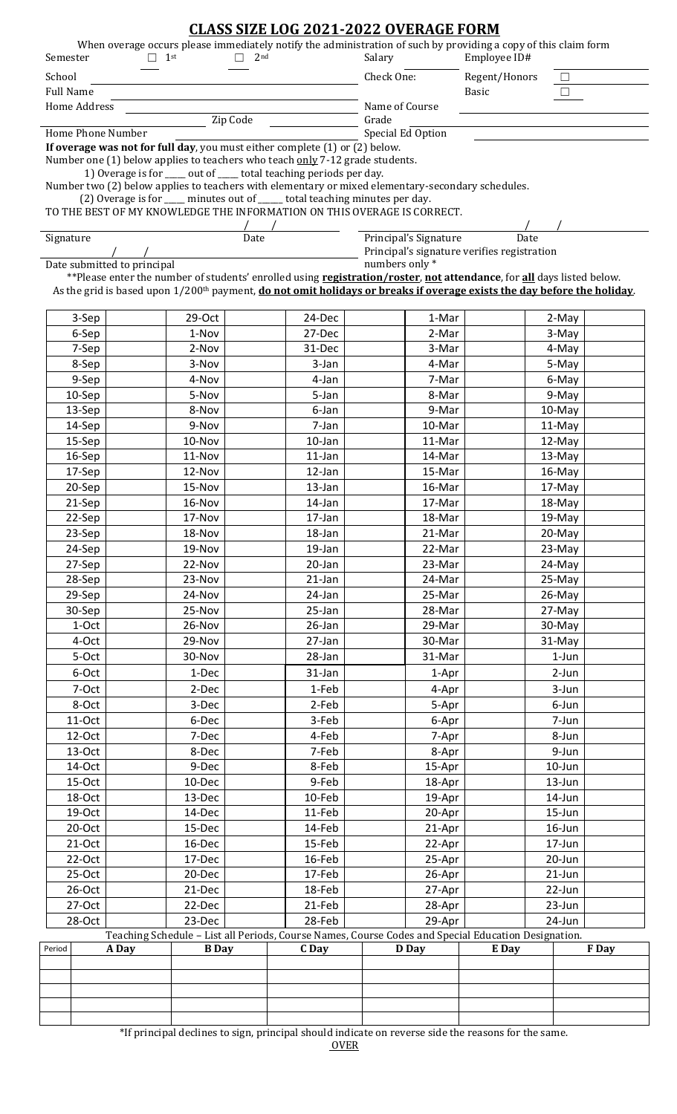|                                                                                                                                                                                                                                                                      |                                                                              |                             |                                                                             |                 | <b>CLASS SIZE LOG 2021-2022 OVERAGE FORM</b> |                                                                                                                                           |                                             |                        |                     |       |  |  |
|----------------------------------------------------------------------------------------------------------------------------------------------------------------------------------------------------------------------------------------------------------------------|------------------------------------------------------------------------------|-----------------------------|-----------------------------------------------------------------------------|-----------------|----------------------------------------------|-------------------------------------------------------------------------------------------------------------------------------------------|---------------------------------------------|------------------------|---------------------|-------|--|--|
|                                                                                                                                                                                                                                                                      |                                                                              | $\Box$ 1st                  | П                                                                           | 2 <sub>nd</sub> |                                              | When overage occurs please immediately notify the administration of such by providing a copy of this claim form<br>Employee ID#<br>Salary |                                             |                        |                     |       |  |  |
| Semester                                                                                                                                                                                                                                                             |                                                                              |                             |                                                                             |                 |                                              |                                                                                                                                           |                                             |                        |                     |       |  |  |
| School<br><b>Full Name</b>                                                                                                                                                                                                                                           |                                                                              |                             |                                                                             |                 |                                              | Check One:                                                                                                                                |                                             | Regent/Honors<br>Basic |                     |       |  |  |
| Home Address                                                                                                                                                                                                                                                         |                                                                              |                             |                                                                             |                 |                                              | Name of Course                                                                                                                            |                                             |                        |                     |       |  |  |
| Zip Code                                                                                                                                                                                                                                                             |                                                                              |                             |                                                                             |                 |                                              |                                                                                                                                           | Grade                                       |                        |                     |       |  |  |
| Home Phone Number                                                                                                                                                                                                                                                    |                                                                              |                             |                                                                             |                 |                                              |                                                                                                                                           | Special Ed Option                           |                        |                     |       |  |  |
|                                                                                                                                                                                                                                                                      |                                                                              |                             | If overage was not for full day, you must either complete (1) or (2) below. |                 |                                              |                                                                                                                                           |                                             |                        |                     |       |  |  |
| Number one (1) below applies to teachers who teach only 7-12 grade students.<br>1) Overage is for ___ out of ___ total teaching periods per day.                                                                                                                     |                                                                              |                             |                                                                             |                 |                                              |                                                                                                                                           |                                             |                        |                     |       |  |  |
| Number two (2) below applies to teachers with elementary or mixed elementary-secondary schedules.                                                                                                                                                                    |                                                                              |                             |                                                                             |                 |                                              |                                                                                                                                           |                                             |                        |                     |       |  |  |
|                                                                                                                                                                                                                                                                      | (2) Overage is for ____ minutes out of _____ total teaching minutes per day. |                             |                                                                             |                 |                                              |                                                                                                                                           |                                             |                        |                     |       |  |  |
| TO THE BEST OF MY KNOWLEDGE THE INFORMATION ON THIS OVERAGE IS CORRECT.                                                                                                                                                                                              |                                                                              |                             |                                                                             |                 |                                              |                                                                                                                                           |                                             |                        |                     |       |  |  |
| Signature<br>Date                                                                                                                                                                                                                                                    |                                                                              |                             |                                                                             |                 |                                              |                                                                                                                                           | Principal's Signature                       | Date                   |                     |       |  |  |
|                                                                                                                                                                                                                                                                      |                                                                              |                             |                                                                             |                 |                                              |                                                                                                                                           | Principal's signature verifies registration |                        |                     |       |  |  |
|                                                                                                                                                                                                                                                                      |                                                                              | Date submitted to principal |                                                                             |                 |                                              | numbers only *                                                                                                                            |                                             |                        |                     |       |  |  |
| **Please enter the number of students' enrolled using registration/roster, not attendance, for all days listed below.<br>As the grid is based upon 1/200 <sup>th</sup> payment, <b>do not omit holidays or breaks if overage exists the day before the holiday</b> . |                                                                              |                             |                                                                             |                 |                                              |                                                                                                                                           |                                             |                        |                     |       |  |  |
|                                                                                                                                                                                                                                                                      |                                                                              |                             |                                                                             |                 |                                              |                                                                                                                                           |                                             |                        |                     |       |  |  |
|                                                                                                                                                                                                                                                                      | 3-Sep                                                                        |                             | 29-Oct                                                                      |                 | 24-Dec                                       |                                                                                                                                           | 1-Mar                                       |                        | 2-May               |       |  |  |
|                                                                                                                                                                                                                                                                      | 6-Sep                                                                        |                             | 1-Nov                                                                       |                 | 27-Dec                                       |                                                                                                                                           | 2-Mar                                       |                        | 3-May               |       |  |  |
|                                                                                                                                                                                                                                                                      | 7-Sep                                                                        |                             | 2-Nov                                                                       |                 | 31-Dec                                       |                                                                                                                                           | 3-Mar                                       |                        | 4-May               |       |  |  |
|                                                                                                                                                                                                                                                                      | 8-Sep                                                                        |                             | 3-Nov                                                                       |                 | 3-Jan                                        |                                                                                                                                           | 4-Mar                                       |                        | 5-May               |       |  |  |
|                                                                                                                                                                                                                                                                      | 9-Sep                                                                        |                             | 4-Nov                                                                       |                 | 4-Jan                                        |                                                                                                                                           | 7-Mar                                       |                        | 6-May               |       |  |  |
|                                                                                                                                                                                                                                                                      | 10-Sep                                                                       |                             | 5-Nov                                                                       |                 | 5-Jan                                        |                                                                                                                                           | 8-Mar                                       |                        | 9-May               |       |  |  |
|                                                                                                                                                                                                                                                                      | 13-Sep                                                                       |                             | 8-Nov                                                                       |                 | 6-Jan                                        |                                                                                                                                           | 9-Mar                                       |                        | 10-May              |       |  |  |
|                                                                                                                                                                                                                                                                      | 14-Sep                                                                       |                             | 9-Nov                                                                       |                 | 7-Jan                                        |                                                                                                                                           | 10-Mar                                      |                        | 11-May              |       |  |  |
|                                                                                                                                                                                                                                                                      | 15-Sep<br>16-Sep                                                             |                             | 10-Nov<br>11-Nov                                                            |                 | $10$ -Jan<br>$11$ -Jan                       |                                                                                                                                           | 11-Mar<br>14-Mar                            |                        | $12$ -May<br>13-May |       |  |  |
|                                                                                                                                                                                                                                                                      | 17-Sep                                                                       |                             | 12-Nov                                                                      |                 | 12-Jan                                       |                                                                                                                                           | 15-Mar                                      |                        | 16-May              |       |  |  |
|                                                                                                                                                                                                                                                                      | 20-Sep                                                                       |                             | 15-Nov                                                                      |                 | 13-Jan                                       |                                                                                                                                           | 16-Mar                                      |                        | 17-May              |       |  |  |
|                                                                                                                                                                                                                                                                      | 21-Sep                                                                       |                             | 16-Nov                                                                      |                 | 14-Jan                                       |                                                                                                                                           | 17-Mar                                      |                        | 18-May              |       |  |  |
|                                                                                                                                                                                                                                                                      | 22-Sep                                                                       |                             | 17-Nov                                                                      |                 | 17-Jan                                       |                                                                                                                                           | 18-Mar                                      |                        | 19-May              |       |  |  |
|                                                                                                                                                                                                                                                                      | 23-Sep                                                                       |                             | 18-Nov                                                                      |                 | $18$ -Jan                                    |                                                                                                                                           | 21-Mar                                      |                        | 20-May              |       |  |  |
|                                                                                                                                                                                                                                                                      | 24-Sep                                                                       |                             | 19-Nov                                                                      |                 | 19-Jan                                       |                                                                                                                                           | 22-Mar                                      |                        | 23-May              |       |  |  |
|                                                                                                                                                                                                                                                                      | 27-Sep                                                                       |                             | 22-Nov                                                                      |                 | 20-Jan                                       |                                                                                                                                           | 23-Mar                                      |                        | 24-May              |       |  |  |
|                                                                                                                                                                                                                                                                      | 28-Sep                                                                       |                             | 23-Nov                                                                      |                 | $21$ -Jan                                    |                                                                                                                                           | 24-Mar                                      |                        | 25-May              |       |  |  |
|                                                                                                                                                                                                                                                                      | 29-Sep                                                                       |                             | 24-Nov                                                                      |                 | 24-Jan                                       |                                                                                                                                           | 25-Mar                                      |                        | 26-May              |       |  |  |
|                                                                                                                                                                                                                                                                      | 30-Sep                                                                       |                             | 25-Nov                                                                      |                 | $25 - Jan$                                   |                                                                                                                                           | 28-Mar                                      |                        | 27-May              |       |  |  |
|                                                                                                                                                                                                                                                                      | 1-Oct                                                                        |                             | 26-Nov                                                                      |                 | 26-Jan                                       |                                                                                                                                           | 29-Mar                                      |                        | 30-May              |       |  |  |
|                                                                                                                                                                                                                                                                      | 4-Oct                                                                        |                             | 29-Nov                                                                      |                 | 27-Jan                                       |                                                                                                                                           | 30-Mar                                      |                        | 31-May              |       |  |  |
|                                                                                                                                                                                                                                                                      | 5-Oct                                                                        |                             | 30-Nov                                                                      |                 | 28-Jan                                       |                                                                                                                                           | 31-Mar                                      |                        | $1$ -Jun            |       |  |  |
|                                                                                                                                                                                                                                                                      | 6-Oct                                                                        |                             | 1-Dec                                                                       |                 | $31$ -Jan                                    |                                                                                                                                           | 1-Apr                                       |                        | $2-Jun$             |       |  |  |
|                                                                                                                                                                                                                                                                      | 7-Oct<br>8-Oct                                                               |                             | 2-Dec<br>3-Dec                                                              |                 | 1-Feb<br>2-Feb                               |                                                                                                                                           | 4-Apr                                       |                        | 3-Jun               |       |  |  |
|                                                                                                                                                                                                                                                                      | 11-Oct                                                                       |                             | 6-Dec                                                                       |                 | 3-Feb                                        |                                                                                                                                           | 5-Apr<br>6-Apr                              |                        | 6-Jun<br>7-Jun      |       |  |  |
|                                                                                                                                                                                                                                                                      | 12-Oct                                                                       |                             | 7-Dec                                                                       |                 | 4-Feb                                        |                                                                                                                                           | 7-Apr                                       |                        | 8-Jun               |       |  |  |
|                                                                                                                                                                                                                                                                      | $13-Oct$                                                                     |                             | 8-Dec                                                                       |                 | 7-Feb                                        |                                                                                                                                           | 8-Apr                                       |                        | 9-Jun               |       |  |  |
|                                                                                                                                                                                                                                                                      | 14-Oct                                                                       |                             | 9-Dec                                                                       |                 | 8-Feb                                        |                                                                                                                                           | 15-Apr                                      |                        | $10$ -Jun           |       |  |  |
|                                                                                                                                                                                                                                                                      | 15-Oct                                                                       |                             | 10-Dec                                                                      |                 | 9-Feb                                        |                                                                                                                                           | 18-Apr                                      |                        | 13-Jun              |       |  |  |
|                                                                                                                                                                                                                                                                      | 18-Oct                                                                       |                             | 13-Dec                                                                      |                 | 10-Feb                                       |                                                                                                                                           | 19-Apr                                      |                        | 14-Jun              |       |  |  |
|                                                                                                                                                                                                                                                                      | 19-Oct                                                                       |                             | 14-Dec                                                                      |                 | 11-Feb                                       |                                                                                                                                           | 20-Apr                                      |                        | 15-Jun              |       |  |  |
|                                                                                                                                                                                                                                                                      | 20-Oct                                                                       |                             | 15-Dec                                                                      |                 | 14-Feb                                       |                                                                                                                                           | 21-Apr                                      |                        | 16-Jun              |       |  |  |
|                                                                                                                                                                                                                                                                      | $21-Oct$                                                                     |                             | 16-Dec                                                                      |                 | 15-Feb                                       |                                                                                                                                           | 22-Apr                                      |                        | 17-Jun              |       |  |  |
|                                                                                                                                                                                                                                                                      | $22-Oct$                                                                     |                             | 17-Dec                                                                      |                 | 16-Feb                                       |                                                                                                                                           | 25-Apr                                      |                        | 20-Jun              |       |  |  |
|                                                                                                                                                                                                                                                                      | $25-Oct$                                                                     |                             | 20-Dec                                                                      |                 | 17-Feb                                       |                                                                                                                                           | 26-Apr                                      |                        | $21$ -Jun           |       |  |  |
|                                                                                                                                                                                                                                                                      | 26-Oct                                                                       |                             | 21-Dec                                                                      |                 | 18-Feb                                       |                                                                                                                                           | 27-Apr                                      |                        | 22-Jun              |       |  |  |
| 27-Oct                                                                                                                                                                                                                                                               |                                                                              | 22-Dec                      |                                                                             | 21-Feb          | 28-Apr                                       |                                                                                                                                           | 23-Jun                                      |                        |                     |       |  |  |
| 23-Dec<br>28-Feb<br>28-Oct<br>29-Apr<br>24-Jun<br>Teaching Schedule - List all Periods, Course Names, Course Codes and Special Education Designation.                                                                                                                |                                                                              |                             |                                                                             |                 |                                              |                                                                                                                                           |                                             |                        |                     |       |  |  |
| Period                                                                                                                                                                                                                                                               |                                                                              | A Day                       | <b>B</b> Day                                                                |                 | C Day                                        |                                                                                                                                           | <b>D</b> Day                                | E Day                  |                     | F Day |  |  |
|                                                                                                                                                                                                                                                                      |                                                                              |                             |                                                                             |                 |                                              |                                                                                                                                           |                                             |                        |                     |       |  |  |
|                                                                                                                                                                                                                                                                      |                                                                              |                             |                                                                             |                 |                                              |                                                                                                                                           |                                             |                        |                     |       |  |  |
|                                                                                                                                                                                                                                                                      |                                                                              |                             |                                                                             |                 |                                              |                                                                                                                                           |                                             |                        |                     |       |  |  |
|                                                                                                                                                                                                                                                                      |                                                                              |                             |                                                                             |                 |                                              |                                                                                                                                           |                                             |                        |                     |       |  |  |

\*If principal declines to sign, principal should indicate on reverse side the reasons for the same.